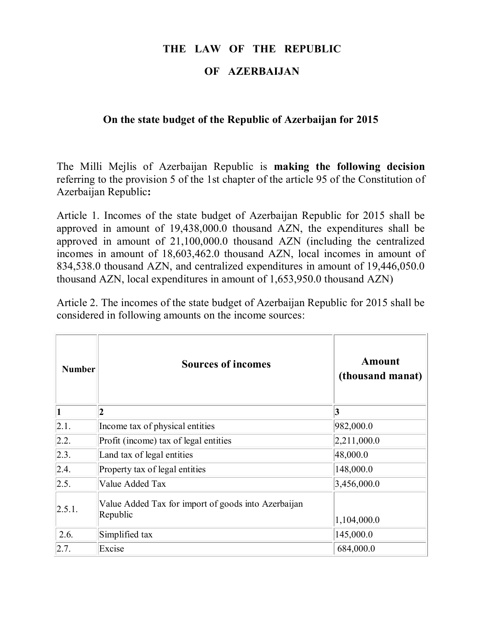# **THE LAW OF THE REPUBLIC**

#### **OF AZERBAIJAN**

### **On the state budget of the Republic of Azerbaijan for 2015**

The Milli Mejlis of Azerbaijan Republic is **making the following decision** referring to the provision 5 of the 1st chapter of the article 95 of the Constitution of Azerbaijan Republic**:**

Article 1. Incomes of the state budget of Azerbaijan Republic for 2015 shall be approved in amount of 19,438,000.0 thousand AZN, the expenditures shall be approved in amount of 21,100,000.0 thousand AZN (including the centralized incomes in amount of 18,603,462.0 thousand AZN, local incomes in amount of 834,538.0 thousand AZN, and centralized expenditures in amount of 19,446,050.0 thousand AZN, local expenditures in amount of 1,653,950.0 thousand AZN)

Article 2. The incomes of the state budget of Azerbaijan Republic for 2015 shall be considered in following amounts on the income sources:

| <b>Number</b> | <b>Sources of incomes</b>                                       | Amount<br>(thousand manat) |
|---------------|-----------------------------------------------------------------|----------------------------|
|               | $\overline{\mathbf{2}}$                                         | 3                          |
| 2.1.          | Income tax of physical entities                                 | 982,000.0                  |
| 2.2.          | Profit (income) tax of legal entities                           | 2,211,000.0                |
| 2.3.          | Land tax of legal entities                                      | 48,000.0                   |
| 2.4.          | Property tax of legal entities                                  | 148,000.0                  |
| 2.5.          | Value Added Tax                                                 | 3,456,000.0                |
| 2.5.1.        | Value Added Tax for import of goods into Azerbaijan<br>Republic | 1,104,000.0                |
| 2.6.          | Simplified tax                                                  | 145,000.0                  |
| 2.7           | Excise                                                          | 684,000.0                  |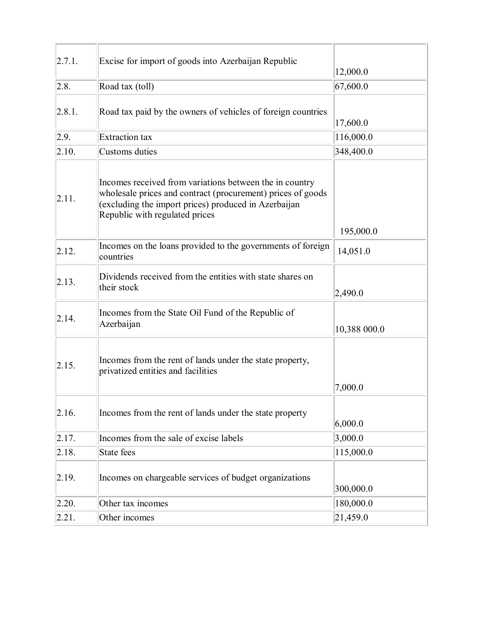| 2.7.1. | Excise for import of goods into Azerbaijan Republic                                                                                                                                                              | 12,000.0     |
|--------|------------------------------------------------------------------------------------------------------------------------------------------------------------------------------------------------------------------|--------------|
| 2.8.   | Road tax (toll)                                                                                                                                                                                                  | 67,600.0     |
| 2.8.1. | Road tax paid by the owners of vehicles of foreign countries                                                                                                                                                     | 17,600.0     |
| 2.9.   | <b>Extraction</b> tax                                                                                                                                                                                            | 116,000.0    |
| 2.10.  | Customs duties                                                                                                                                                                                                   | 348,400.0    |
| 2.11.  | Incomes received from variations between the in country<br>wholesale prices and contract (procurement) prices of goods<br>(excluding the import prices) produced in Azerbaijan<br>Republic with regulated prices | 195,000.0    |
| 2.12.  | Incomes on the loans provided to the governments of foreign<br>countries                                                                                                                                         | 14,051.0     |
| 2.13.  | Dividends received from the entities with state shares on<br>their stock                                                                                                                                         | 2,490.0      |
| 2.14.  | Incomes from the State Oil Fund of the Republic of<br>Azerbaijan                                                                                                                                                 | 10,388 000.0 |
| 2.15.  | Incomes from the rent of lands under the state property,<br>privatized entities and facilities                                                                                                                   | 7,000.0      |
| 2.16.  | Incomes from the rent of lands under the state property                                                                                                                                                          | 6,000.0      |
| 2.17.  | Incomes from the sale of excise labels                                                                                                                                                                           | 3,000.0      |
| 2.18.  | State fees                                                                                                                                                                                                       | 115,000.0    |
| 2.19.  | Incomes on chargeable services of budget organizations                                                                                                                                                           | 300,000.0    |
| 2.20.  | Other tax incomes                                                                                                                                                                                                | 180,000.0    |
| 2.21.  | Other incomes                                                                                                                                                                                                    | 21,459.0     |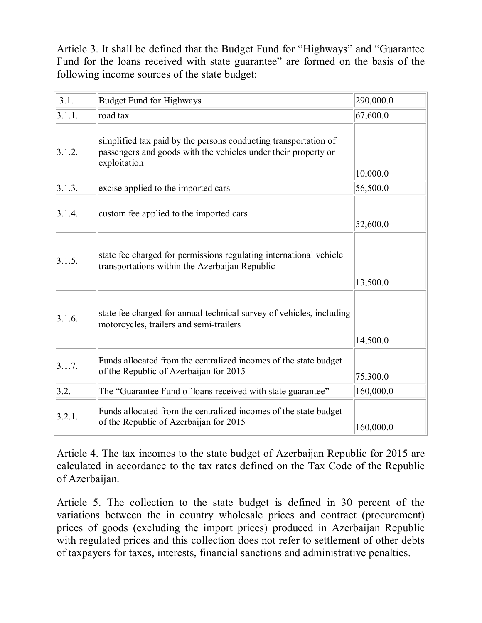Article 3. It shall be defined that the Budget Fund for "Highways" and "Guarantee Fund for the loans received with state guarantee" are formed on the basis of the following income sources of the state budget:

| 3.1.   | <b>Budget Fund for Highways</b>                                                                                                                   | 290,000.0 |
|--------|---------------------------------------------------------------------------------------------------------------------------------------------------|-----------|
| 3.1.1. | road tax                                                                                                                                          | 67,600.0  |
| 3.1.2. | simplified tax paid by the persons conducting transportation of<br>passengers and goods with the vehicles under their property or<br>exploitation | 10,000.0  |
| 3.1.3. | excise applied to the imported cars                                                                                                               | 56,500.0  |
| 3.1.4. | custom fee applied to the imported cars                                                                                                           | 52,600.0  |
| 3.1.5. | state fee charged for permissions regulating international vehicle<br>transportations within the Azerbaijan Republic                              | 13,500.0  |
|        |                                                                                                                                                   |           |
| 3.1.6. | state fee charged for annual technical survey of vehicles, including<br>motorcycles, trailers and semi-trailers                                   |           |
|        |                                                                                                                                                   | 14,500.0  |
| 3.1.7. | Funds allocated from the centralized incomes of the state budget<br>of the Republic of Azerbaijan for 2015                                        | 75,300.0  |
| 3.2.   | The "Guarantee Fund of loans received with state guarantee"                                                                                       | 160,000.0 |
|        |                                                                                                                                                   |           |
| 3.2.1. | Funds allocated from the centralized incomes of the state budget<br>of the Republic of Azerbaijan for 2015                                        | 160,000.0 |

Article 4. The tax incomes to the state budget of Azerbaijan Republic for 2015 are calculated in accordance to the tax rates defined on the Tax Code of the Republic of Azerbaijan.

Article 5. The collection to the state budget is defined in 30 percent of the variations between the in country wholesale prices and contract (procurement) prices of goods (excluding the import prices) produced in Azerbaijan Republic with regulated prices and this collection does not refer to settlement of other debts of taxpayers for taxes, interests, financial sanctions and administrative penalties.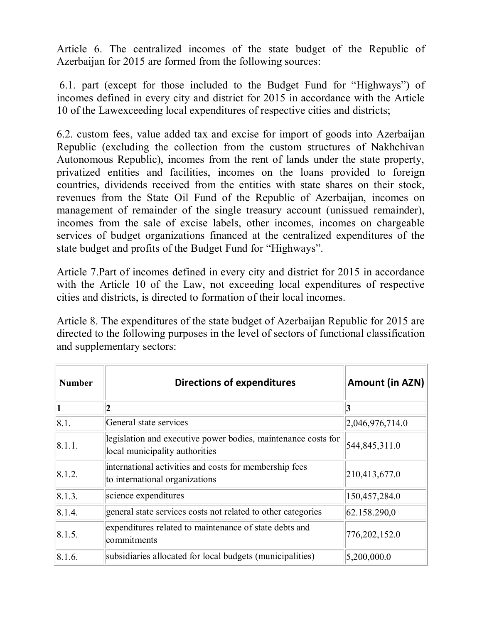Article 6. The centralized incomes of the state budget of the Republic of Azerbaijan for 2015 are formed from the following sources:

 6.1. part (except for those included to the Budget Fund for "Highways") of incomes defined in every city and district for 2015 in accordance with the Article 10 of the Lawexceeding local expenditures of respective cities and districts;

6.2. custom fees, value added tax and excise for import of goods into Azerbaijan Republic (excluding the collection from the custom structures of Nakhchivan Autonomous Republic), incomes from the rent of lands under the state property, privatized entities and facilities, incomes on the loans provided to foreign countries, dividends received from the entities with state shares on their stock, revenues from the State Oil Fund of the Republic of Azerbaijan, incomes on management of remainder of the single treasury account (unissued remainder), incomes from the sale of excise labels, other incomes, incomes on chargeable services of budget organizations financed at the centralized expenditures of the state budget and profits of the Budget Fund for "Highways".

Article 7.Part of incomes defined in every city and district for 2015 in accordance with the Article 10 of the Law, not exceeding local expenditures of respective cities and districts, is directed to formation of their local incomes.

Article 8. The expenditures of the state budget of Azerbaijan Republic for 2015 are directed to the following purposes in the level of sectors of functional classification and supplementary sectors:

| <b>Number</b> | <b>Directions of expenditures</b>                                                               | Amount (in AZN) |
|---------------|-------------------------------------------------------------------------------------------------|-----------------|
|               | $\overline{2}$                                                                                  | 3               |
| 8.1.          | General state services                                                                          | 2,046,976,714.0 |
| 8.1.1.        | legislation and executive power bodies, maintenance costs for<br>local municipality authorities | 544,845,311.0   |
| 8.1.2.        | international activities and costs for membership fees<br>to international organizations        | 210,413,677.0   |
| 8.1.3.        | science expenditures                                                                            | 150,457,284.0   |
| 8.1.4.        | general state services costs not related to other categories                                    | 62.158.290,0    |
| 8.1.5.        | expenditures related to maintenance of state debts and<br>commitments                           | 776, 202, 152.0 |
| 8.1.6.        | subsidiaries allocated for local budgets (municipalities)                                       | 5,200,000.0     |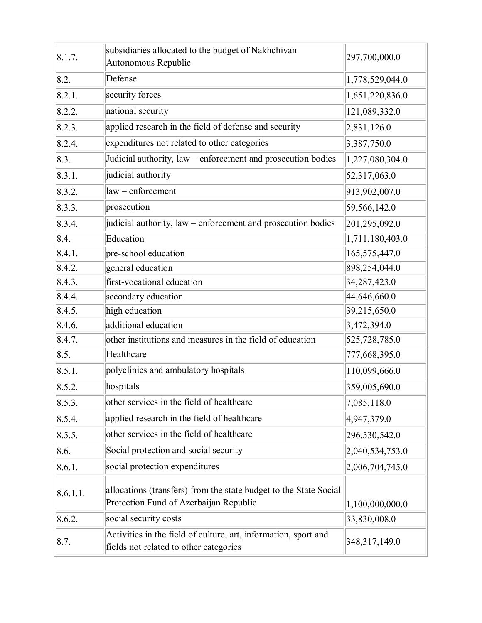| 8.1.7.   | subsidiaries allocated to the budget of Nakhchivan<br>Autonomous Republic                                   | 297,700,000.0   |
|----------|-------------------------------------------------------------------------------------------------------------|-----------------|
| 8.2.     | Defense                                                                                                     | 1,778,529,044.0 |
| 8.2.1.   | security forces                                                                                             | 1,651,220,836.0 |
| 8.2.2.   | national security                                                                                           | 121,089,332.0   |
| 8.2.3.   | applied research in the field of defense and security                                                       | 2,831,126.0     |
| 8.2.4.   | expenditures not related to other categories                                                                | 3,387,750.0     |
| 8.3.     | Judicial authority, law – enforcement and prosecution bodies                                                | 1,227,080,304.0 |
| 8.3.1.   | judicial authority                                                                                          | 52,317,063.0    |
| 8.3.2.   | law - enforcement                                                                                           | 913,902,007.0   |
| 8.3.3.   | prosecution                                                                                                 | 59,566,142.0    |
| 8.3.4.   | judicial authority, law – enforcement and prosecution bodies                                                | 201,295,092.0   |
| 8.4.     | Education                                                                                                   | 1,711,180,403.0 |
| 8.4.1.   | pre-school education                                                                                        | 165,575,447.0   |
| 8.4.2.   | general education                                                                                           | 898,254,044.0   |
| 8.4.3.   | first-vocational education                                                                                  | 34,287,423.0    |
| 8.4.4.   | secondary education                                                                                         | 44,646,660.0    |
| 8.4.5.   | high education                                                                                              | 39,215,650.0    |
| 8.4.6.   | additional education                                                                                        | 3,472,394.0     |
| 8.4.7.   | other institutions and measures in the field of education                                                   | 525,728,785.0   |
| 8.5.     | Healthcare                                                                                                  | 777,668,395.0   |
| 8.5.1.   | polyclinics and ambulatory hospitals                                                                        | 110,099,666.0   |
| 8.5.2.   | hospitals                                                                                                   | 359,005,690.0   |
| 8.5.3.   | other services in the field of healthcare                                                                   | 7,085,118.0     |
| 8.5.4.   | applied research in the field of healthcare                                                                 | 4,947,379.0     |
| 8.5.5.   | other services in the field of healthcare                                                                   | 296,530,542.0   |
| 8.6.     | Social protection and social security                                                                       | 2,040,534,753.0 |
| 8.6.1.   | social protection expenditures                                                                              | 2,006,704,745.0 |
| 8.6.1.1. | allocations (transfers) from the state budget to the State Social<br>Protection Fund of Azerbaijan Republic | 1,100,000,000.0 |
| 8.6.2.   | social security costs                                                                                       | 33,830,008.0    |
| 8.7.     | Activities in the field of culture, art, information, sport and<br>fields not related to other categories   | 348, 317, 149.0 |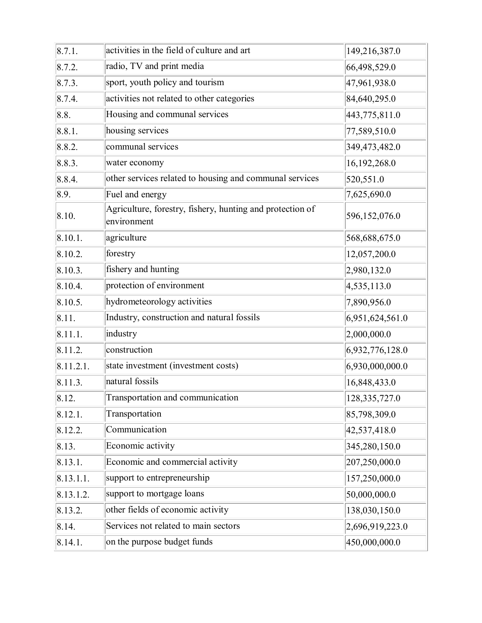| 8.7.1.    | activities in the field of culture and art<br>149,216,387.0              |                 |  |  |
|-----------|--------------------------------------------------------------------------|-----------------|--|--|
| 8.7.2.    | radio, TV and print media<br>66,498,529.0                                |                 |  |  |
| 8.7.3.    | sport, youth policy and tourism                                          | 47,961,938.0    |  |  |
| 8.7.4.    | activities not related to other categories                               | 84,640,295.0    |  |  |
| 8.8.      | Housing and communal services                                            | 443,775,811.0   |  |  |
| 8.8.1.    | housing services                                                         | 77,589,510.0    |  |  |
| 8.8.2.    | communal services                                                        | 349,473,482.0   |  |  |
| 8.8.3.    | water economy                                                            | 16,192,268.0    |  |  |
| 8.8.4.    | other services related to housing and communal services                  | 520,551.0       |  |  |
| 8.9.      | Fuel and energy                                                          | 7,625,690.0     |  |  |
| 8.10.     | Agriculture, forestry, fishery, hunting and protection of<br>environment | 596,152,076.0   |  |  |
| 8.10.1.   | agriculture                                                              | 568,688,675.0   |  |  |
| 8.10.2.   | forestry                                                                 | 12,057,200.0    |  |  |
| 8.10.3.   | fishery and hunting                                                      | 2,980,132.0     |  |  |
| 8.10.4.   | protection of environment                                                | 4,535,113.0     |  |  |
| 8.10.5.   | hydrometeorology activities                                              | 7,890,956.0     |  |  |
| 8.11.     | Industry, construction and natural fossils                               | 6,951,624,561.0 |  |  |
| 8.11.1.   | industry                                                                 | 2,000,000.0     |  |  |
| 8.11.2.   | construction                                                             | 6,932,776,128.0 |  |  |
| 8.11.2.1. | state investment (investment costs)                                      | 6,930,000,000.0 |  |  |
| 8.11.3.   | natural fossils                                                          | 16,848,433.0    |  |  |
| 8.12.     | Transportation and communication                                         | 128,335,727.0   |  |  |
| 8.12.1.   | Transportation                                                           | 85,798,309.0    |  |  |
| 8.12.2.   | Communication                                                            | 42,537,418.0    |  |  |
| 8.13.     | Economic activity                                                        | 345,280,150.0   |  |  |
| 8.13.1.   | Economic and commercial activity                                         | 207,250,000.0   |  |  |
| 8.13.1.1. | support to entrepreneurship                                              | 157,250,000.0   |  |  |
| 8.13.1.2. | support to mortgage loans                                                | 50,000,000.0    |  |  |
| 8.13.2.   | other fields of economic activity                                        | 138,030,150.0   |  |  |
| 8.14.     | Services not related to main sectors                                     | 2,696,919,223.0 |  |  |
| 8.14.1.   | on the purpose budget funds<br>450,000,000.0                             |                 |  |  |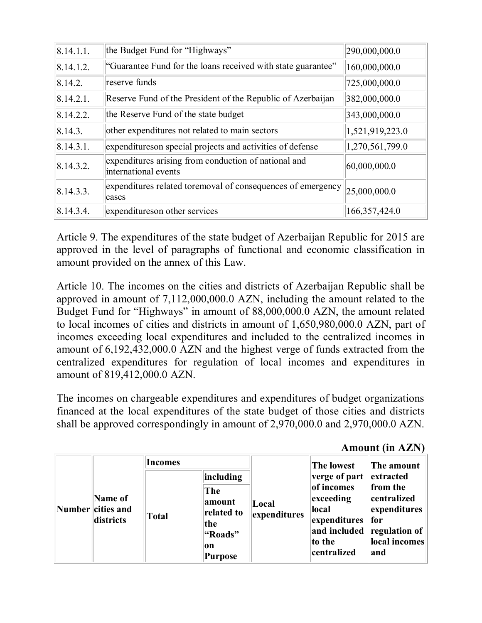| 8.14.1.1. | the Budget Fund for "Highways"                                               | 290,000,000.0   |
|-----------|------------------------------------------------------------------------------|-----------------|
| 8.14.1.2. | "Guarantee Fund for the loans received with state guarantee"                 | 160,000,000.0   |
| 8.14.2.   | reserve funds                                                                | 725,000,000.0   |
| 8.14.2.1  | Reserve Fund of the President of the Republic of Azerbaijan                  | 382,000,000.0   |
| 8.14.2.2. | the Reserve Fund of the state budget                                         | 343,000,000.0   |
| 8.14.3.   | other expenditures not related to main sectors                               | 1,521,919,223.0 |
| 8.14.3.1  | expenditures on special projects and activities of defense                   | 1,270,561,799.0 |
| 8.14.3.2. | expenditures arising from conduction of national and<br>international events | 60,000,000.0    |
| 8.14.3.3. | expenditures related toremoval of consequences of emergency<br>cases         | 25,000,000.0    |
| 8.14.3.4  | expenditures on other services                                               | 166, 357, 424.0 |

Article 9. The expenditures of the state budget of Azerbaijan Republic for 2015 are approved in the level of paragraphs of functional and economic classification in amount provided on the annex of this Law.

Article 10. The incomes on the cities and districts of Azerbaijan Republic shall be approved in amount of 7,112,000,000.0 AZN, including the amount related to the Budget Fund for "Highways" in amount of 88,000,000.0 AZN, the amount related to local incomes of cities and districts in amount of 1,650,980,000.0 AZN, part of incomes exceeding local expenditures and included to the centralized incomes in amount of 6,192,432,000.0 AZN and the highest verge of funds extracted from the centralized expenditures for regulation of local incomes and expenditures in amount of 819,412,000.0 AZN.

The incomes on chargeable expenditures and expenditures of budget organizations financed at the local expenditures of the state budget of those cities and districts shall be approved correspondingly in amount of 2,970,000.0 and 2,970,000.0 AZN.

**Amount (in AZN)**

|                                           | Incomes      |                                                                                     |                       | The lowest                                                                                                          | The amount                                                                                                          |
|-------------------------------------------|--------------|-------------------------------------------------------------------------------------|-----------------------|---------------------------------------------------------------------------------------------------------------------|---------------------------------------------------------------------------------------------------------------------|
| Name of<br>Number cities and<br>districts | <b>Total</b> | including<br>The<br>amount<br>related to<br>the<br>"Roads"<br> on<br><b>Purpose</b> | Local<br>expenditures | verge of part<br>of incomes<br>$\left $ exceeding<br>local<br>expenditures<br>and included<br>to the<br>centralized | extracted<br>from the<br>centralized<br>expenditures<br><b>for</b><br>$ $ regulation of $ $<br>local incomes<br>and |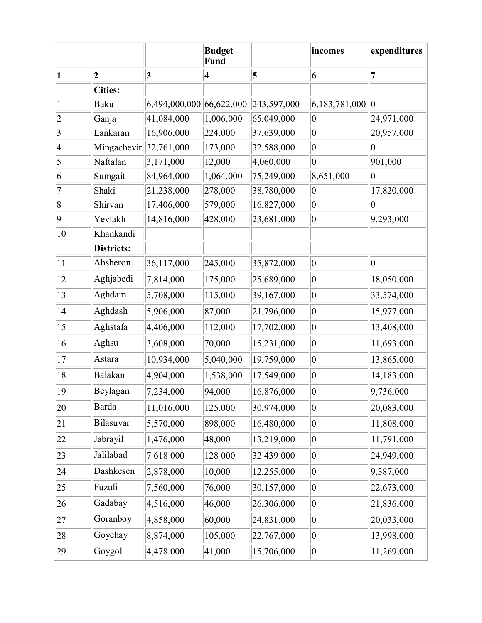|                          |                |               | <b>Budget</b><br><b>Fund</b> |             | incomes       | expenditures   |
|--------------------------|----------------|---------------|------------------------------|-------------|---------------|----------------|
| 1                        | $\overline{2}$ | $\vert 3$     | $\vert 4 \vert$              | 5           | 6             | 7              |
|                          | <b>Cities:</b> |               |                              |             |               |                |
|                          | Baku           | 6,494,000,000 | 66,622,000                   | 243,597,000 | 6,183,781,000 | $ 0\rangle$    |
| $\overline{c}$           | Ganja          | 41,084,000    | 1,006,000                    | 65,049,000  | $ 0\rangle$   | 24,971,000     |
| 3                        | Lankaran       | 16,906,000    | 224,000                      | 37,639,000  | $ 0\rangle$   | 20,957,000     |
| $\overline{\mathcal{A}}$ | Mingachevir    | 32,761,000    | 173,000                      | 32,588,000  | $ 0\rangle$   | $\overline{0}$ |
| 5                        | Naftalan       | 3,171,000     | 12,000                       | 4,060,000   | $ 0\rangle$   | 901,000        |
| 6                        | Sumgait        | 84,964,000    | 1,064,000                    | 75,249,000  | 8,651,000     | $ 0\rangle$    |
| 7                        | Shaki          | 21,238,000    | 278,000                      | 38,780,000  | $ 0\rangle$   | 17,820,000     |
| 8                        | Shirvan        | 17,406,000    | 579,000                      | 16,827,000  | $ 0\rangle$   | $\overline{0}$ |
| 9                        | Yevlakh        | 14,816,000    | 428,000                      | 23,681,000  | $ 0\rangle$   | 9,293,000      |
| 10                       | Khankandi      |               |                              |             |               |                |
|                          | Districts:     |               |                              |             |               |                |
| 11                       | Absheron       | 36,117,000    | 245,000                      | 35,872,000  | $ 0\rangle$   | $\overline{0}$ |
| 12                       | Aghjabedi      | 7,814,000     | 175,000                      | 25,689,000  | $ 0\rangle$   | 18,050,000     |
| 13                       | Aghdam         | 5,708,000     | 115,000                      | 39,167,000  | $ 0\rangle$   | 33,574,000     |
| 14                       | Aghdash        | 5,906,000     | 87,000                       | 21,796,000  | $ 0\rangle$   | 15,977,000     |
| 15                       | Aghstafa       | 4,406,000     | 112,000                      | 17,702,000  | $ 0\rangle$   | 13,408,000     |
| 16                       | Aghsu          | 3,608,000     | 70,000                       | 15,231,000  | $ 0\rangle$   | 11,693,000     |
| 17                       | Astara         | 10,934,000    | 5,040,000                    | 19,759,000  | $ 0\rangle$   | 13,865,000     |
| 18                       | Balakan        | 4,904,000     | 1,538,000                    | 17,549,000  | $ 0\rangle$   | 14,183,000     |
| 19                       | Beylagan       | 7,234,000     | 94,000                       | 16,876,000  | $ 0\rangle$   | 9,736,000      |
| 20                       | Barda          | 11,016,000    | 125,000                      | 30,974,000  | $ 0\rangle$   | 20,083,000     |
| 21                       | Bilasuvar      | 5,570,000     | 898,000                      | 16,480,000  | $ 0\rangle$   | 11,808,000     |
| 22                       | Jabrayil       | 1,476,000     | 48,000                       | 13,219,000  | $ 0\rangle$   | 11,791,000     |
| 23                       | Jalilabad      | 7618000       | 128 000                      | 32 439 000  | $ 0\rangle$   | 24,949,000     |
| 24                       | Dashkesen      | 2,878,000     | 10,000                       | 12,255,000  | $ 0\rangle$   | 9,387,000      |
| 25                       | Fuzuli         | 7,560,000     | 76,000                       | 30,157,000  | $ 0\rangle$   | 22,673,000     |
| 26                       | Gadabay        | 4,516,000     | 46,000                       | 26,306,000  | $ 0\rangle$   | 21,836,000     |
| 27                       | Goranboy       | 4,858,000     | 60,000                       | 24,831,000  | $ 0\rangle$   | 20,033,000     |
| 28                       | Goychay        | 8,874,000     | 105,000                      | 22,767,000  | $ 0\rangle$   | 13,998,000     |
| 29                       | Goygol         | 4,478 000     | 41,000                       | 15,706,000  | $ 0\rangle$   | 11,269,000     |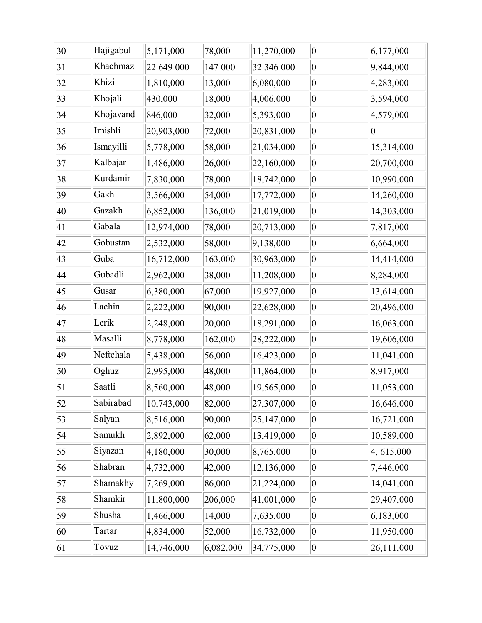| 30 | Hajigabul | 5,171,000  | 78,000    | 11,270,000 | $ 0\rangle$ | 6,177,000      |
|----|-----------|------------|-----------|------------|-------------|----------------|
| 31 | Khachmaz  | 22 649 000 | 147 000   | 32 346 000 | $ 0\>$      | 9,844,000      |
| 32 | Khizi     | 1,810,000  | 13,000    | 6,080,000  | $ 0\rangle$ | 4,283,000      |
| 33 | Khojali   | 430,000    | 18,000    | 4,006,000  | $ 0\rangle$ | 3,594,000      |
| 34 | Khojavand | 846,000    | 32,000    | 5,393,000  | $ 0\>$      | 4,579,000      |
| 35 | Imishli   | 20,903,000 | 72,000    | 20,831,000 | $ 0\>$      | $\overline{0}$ |
| 36 | Ismayilli | 5,778,000  | 58,000    | 21,034,000 | $ 0\rangle$ | 15,314,000     |
| 37 | Kalbajar  | 1,486,000  | 26,000    | 22,160,000 | $ 0\rangle$ | 20,700,000     |
| 38 | Kurdamir  | 7,830,000  | 78,000    | 18,742,000 | $ 0\rangle$ | 10,990,000     |
| 39 | Gakh      | 3,566,000  | 54,000    | 17,772,000 | $ 0\rangle$ | 14,260,000     |
| 40 | Gazakh    | 6,852,000  | 136,000   | 21,019,000 | $ 0\rangle$ | 14,303,000     |
| 41 | Gabala    | 12,974,000 | 78,000    | 20,713,000 | $ 0\rangle$ | 7,817,000      |
| 42 | Gobustan  | 2,532,000  | 58,000    | 9,138,000  | $ 0\rangle$ | 6,664,000      |
| 43 | Guba      | 16,712,000 | 163,000   | 30,963,000 | $ 0\rangle$ | 14,414,000     |
| 44 | Gubadli   | 2,962,000  | 38,000    | 11,208,000 | $ 0\>$      | 8,284,000      |
| 45 | Gusar     | 6,380,000  | 67,000    | 19,927,000 | $ 0\>$      | 13,614,000     |
| 46 | Lachin    | 2,222,000  | 90,000    | 22,628,000 | $ 0\rangle$ | 20,496,000     |
| 47 | Lerik     | 2,248,000  | 20,000    | 18,291,000 | $ 0\rangle$ | 16,063,000     |
| 48 | Masalli   | 8,778,000  | 162,000   | 28,222,000 | $ 0\rangle$ | 19,606,000     |
| 49 | Neftchala | 5,438,000  | 56,000    | 16,423,000 | $ 0\rangle$ | 11,041,000     |
| 50 | Oghuz     | 2,995,000  | 48,000    | 11,864,000 | $ 0\rangle$ | 8,917,000      |
| 51 | Saatli    | 8,560,000  | 48,000    | 19,565,000 | $ 0\rangle$ | 11,053,000     |
| 52 | Sabirabad | 10,743,000 | 82,000    | 27,307,000 | $ 0\rangle$ | 16,646,000     |
| 53 | Salyan    | 8,516,000  | 90,000    | 25,147,000 | $ 0\rangle$ | 16,721,000     |
| 54 | Samukh    | 2,892,000  | 62,000    | 13,419,000 | $ 0\rangle$ | 10,589,000     |
| 55 | Siyazan   | 4,180,000  | 30,000    | 8,765,000  | $ 0\>$      | 4,615,000      |
| 56 | Shabran   | 4,732,000  | 42,000    | 12,136,000 | $ 0\rangle$ | 7,446,000      |
| 57 | Shamakhy  | 7,269,000  | 86,000    | 21,224,000 | $ 0\>$      | 14,041,000     |
| 58 | Shamkir   | 11,800,000 | 206,000   | 41,001,000 | $ 0\rangle$ | 29,407,000     |
| 59 | Shusha    | 1,466,000  | 14,000    | 7,635,000  | $ 0\rangle$ | 6,183,000      |
| 60 | Tartar    | 4,834,000  | 52,000    | 16,732,000 | $ 0\>$      | 11,950,000     |
| 61 | Tovuz     | 14,746,000 | 6,082,000 | 34,775,000 | 0           | 26,111,000     |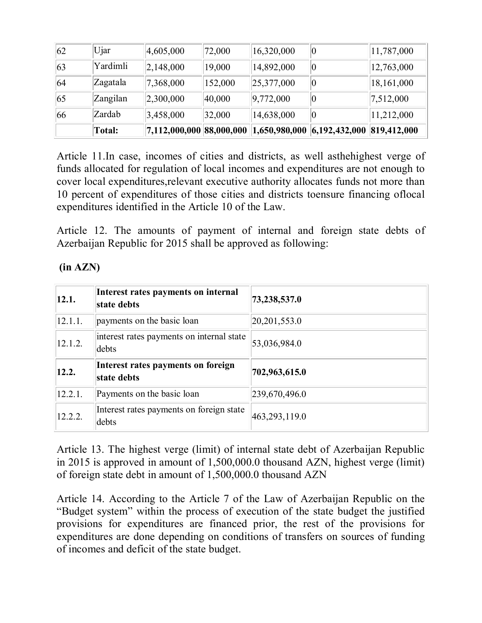|    | <b>Total:</b> | $\vert 7{,}112{,}000{,}000 \vert 88{,}000{,}000 \vert$ |         |            | $ 1,650,980,000 $ $ 6,192,432,000 $ $ 819,412,000 $ |            |
|----|---------------|--------------------------------------------------------|---------|------------|-----------------------------------------------------|------------|
| 66 | Zardab        | 3,458,000                                              | 32,000  | 14,638,000 | $ 0\>$                                              | 11,212,000 |
| 65 | Zangilan      | 2,300,000                                              | 40,000  | 9,772,000  |                                                     | 7,512,000  |
| 64 | Zagatala      | 7,368,000                                              | 152,000 | 25,377,000 | $ 0\>$                                              | 18,161,000 |
| 63 | Yardimli      | 2,148,000                                              | 19,000  | 14,892,000 | 10                                                  | 12,763,000 |
| 62 | Ujar          | 4,605,000                                              | 72,000  | 16,320,000 | 10                                                  | 11,787,000 |

Article 11.In case, incomes of cities and districts, as well asthehighest verge of funds allocated for regulation of local incomes and expenditures are not enough to cover local expenditures,relevant executive authority allocates funds not more than 10 percent of expenditures of those cities and districts toensure financing oflocal expenditures identified in the Article 10 of the Law.

Article 12. The amounts of payment of internal and foreign state debts of Azerbaijan Republic for 2015 shall be approved as following:

## **(in AZN)**

| 12.1.   | Interest rates payments on internal<br>state debts | 73,238,537.0  |
|---------|----------------------------------------------------|---------------|
| 12.1.1. | payments on the basic loan                         | 20,201,553.0  |
| 12.1.2. | interest rates payments on internal state<br>debts | 53,036,984.0  |
| 12.2.   | Interest rates payments on foreign<br>state debts  | 702,963,615.0 |
| 12.2.1. | Payments on the basic loan                         | 239,670,496.0 |
| 12.2.2. | Interest rates payments on foreign state<br>debts  | 463,293,119.0 |

Article 13. The highest verge (limit) of internal state debt of Azerbaijan Republic in 2015 is approved in amount of 1,500,000.0 thousand AZN, highest verge (limit) of foreign state debt in amount of 1,500,000.0 thousand AZN

Article 14. According to the Article 7 of the Law of Azerbaijan Republic on the "Budget system" within the process of execution of the state budget the justified provisions for expenditures are financed prior, the rest of the provisions for expenditures are done depending on conditions of transfers on sources of funding of incomes and deficit of the state budget.